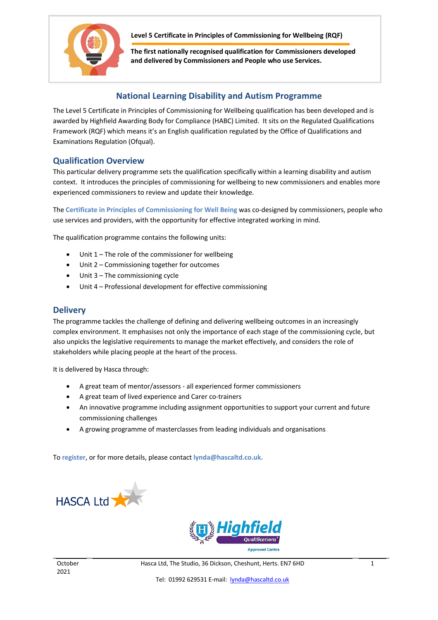

 **Level 5 Certificate in Principles of Commissioning for Wellbeing (RQF)**

**The first nationally recognised qualification for Commissioners developed and delivered by Commissioners and People who use Services.**

## **National Learning Disability and Autism Programme**

The Level 5 Certificate in Principles of Commissioning for Wellbeing qualification has been developed and is awarded by Highfield Awarding Body for Compliance (HABC) Limited. It sits on the Regulated Qualifications Framework (RQF) which means it's an English qualification regulated by the Office of Qualifications and Examinations Regulation (Ofqual).

## **Qualification Overview**

This particular delivery programme sets the qualification specifically within a learning disability and autism context. It introduces the principles of commissioning for wellbeing to new commissioners and enables more experienced commissioners to review and update their knowledge.

The **Certificate in Principles of Commissioning for Well Being** was co-designed by commissioners, people who use services and providers, with the opportunity for effective integrated working in mind.

The qualification programme contains the following units:

- Unit 1 The role of the commissioner for wellbeing
- Unit 2 Commissioning together for outcomes
- Unit 3 The commissioning cycle
- Unit 4 Professional development for effective commissioning

## **Delivery**

The programme tackles the challenge of defining and delivering wellbeing outcomes in an increasingly complex environment. It emphasises not only the importance of each stage of the commissioning cycle, but also unpicks the legislative requirements to manage the market effectively, and considers the role of stakeholders while placing people at the heart of the process.

It is delivered by Hasca through:

- A great team of mentor/assessors all experienced former commissioners
- A great team of lived experience and Carer co-trainers
- An innovative programme including assignment opportunities to support your current and future commissioning challenges
- A growing programme of masterclasses from leading individuals and organisations

To **register**, or for more details, please contact **lynda@hascaltd.co.uk.**